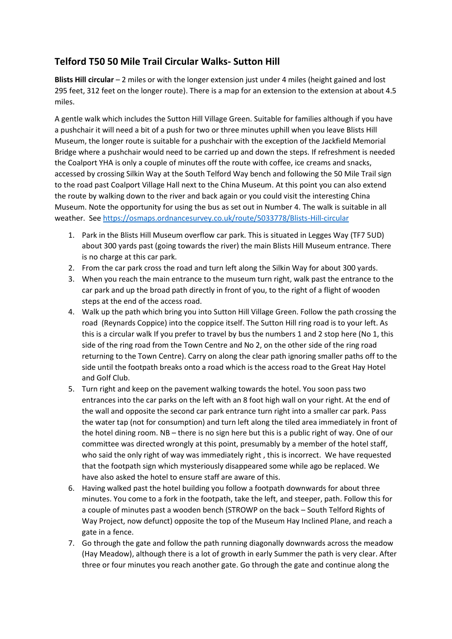## **Telford T50 50 Mile Trail Circular Walks- Sutton Hill**

**Blists Hill circular** – 2 miles or with the longer extension just under 4 miles (height gained and lost 295 feet, 312 feet on the longer route). There is a map for an extension to the extension at about 4.5 miles.

A gentle walk which includes the Sutton Hill Village Green. Suitable for families although if you have a pushchair it will need a bit of a push for two or three minutes uphill when you leave Blists Hill Museum, the longer route is suitable for a pushchair with the exception of the Jackfield Memorial Bridge where a pushchair would need to be carried up and down the steps. If refreshment is needed the Coalport YHA is only a couple of minutes off the route with coffee, ice creams and snacks, accessed by crossing Silkin Way at the South Telford Way bench and following the 50 Mile Trail sign to the road past Coalport Village Hall next to the China Museum. At this point you can also extend the route by walking down to the river and back again or you could visit the interesting China Museum. Note the opportunity for using the bus as set out in Number 4. The walk is suitable in all weather. Se[e https://osmaps.ordnancesurvey.co.uk/route/5033778/Blists-Hill-circular](https://osmaps.ordnancesurvey.co.uk/route/5033778/Blists-Hill-circular)

- 1. Park in the Blists Hill Museum overflow car park. This is situated in Legges Way (TF7 5UD) about 300 yards past (going towards the river) the main Blists Hill Museum entrance. There is no charge at this car park.
- 2. From the car park cross the road and turn left along the Silkin Way for about 300 yards.
- 3. When you reach the main entrance to the museum turn right, walk past the entrance to the car park and up the broad path directly in front of you, to the right of a flight of wooden steps at the end of the access road.
- 4. Walk up the path which bring you into Sutton Hill Village Green. Follow the path crossing the road (Reynards Coppice) into the coppice itself. The Sutton Hill ring road is to your left. As this is a circular walk If you prefer to travel by bus the numbers 1 and 2 stop here (No 1, this side of the ring road from the Town Centre and No 2, on the other side of the ring road returning to the Town Centre). Carry on along the clear path ignoring smaller paths off to the side until the footpath breaks onto a road which is the access road to the Great Hay Hotel and Golf Club.
- 5. Turn right and keep on the pavement walking towards the hotel. You soon pass two entrances into the car parks on the left with an 8 foot high wall on your right. At the end of the wall and opposite the second car park entrance turn right into a smaller car park. Pass the water tap (not for consumption) and turn left along the tiled area immediately in front of the hotel dining room. NB – there is no sign here but this is a public right of way. One of our committee was directed wrongly at this point, presumably by a member of the hotel staff, who said the only right of way was immediately right , this is incorrect. We have requested that the footpath sign which mysteriously disappeared some while ago be replaced. We have also asked the hotel to ensure staff are aware of this.
- 6. Having walked past the hotel building you follow a footpath downwards for about three minutes. You come to a fork in the footpath, take the left, and steeper, path. Follow this for a couple of minutes past a wooden bench (STROWP on the back – South Telford Rights of Way Project, now defunct) opposite the top of the Museum Hay Inclined Plane, and reach a gate in a fence.
- 7. Go through the gate and follow the path running diagonally downwards across the meadow (Hay Meadow), although there is a lot of growth in early Summer the path is very clear. After three or four minutes you reach another gate. Go through the gate and continue along the